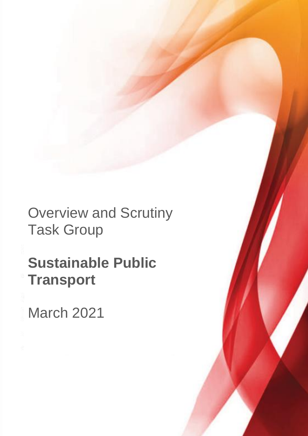Overview and Scrutiny Task Group

**Sustainable Public Transport**

March 2021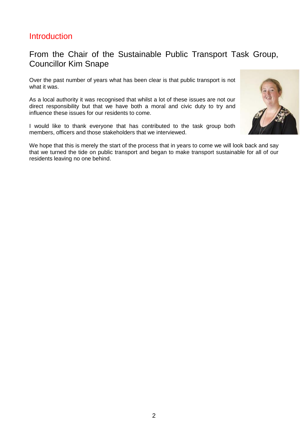# **Introduction**

# From the Chair of the Sustainable Public Transport Task Group, Councillor Kim Snape

Over the past number of years what has been clear is that public transport is not what it was.

As a local authority it was recognised that whilst a lot of these issues are not our direct responsibility but that we have both a moral and civic duty to try and influence these issues for our residents to come.

I would like to thank everyone that has contributed to the task group both members, officers and those stakeholders that we interviewed.

We hope that this is merely the start of the process that in years to come we will look back and say that we turned the tide on public transport and began to make transport sustainable for all of our residents leaving no one behind.

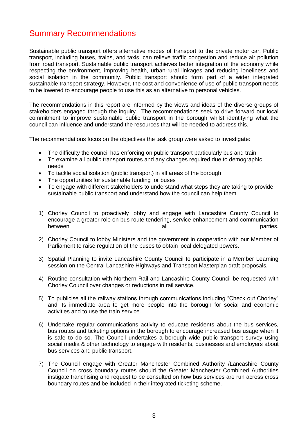# Summary Recommendations

Sustainable public transport offers alternative modes of transport to the private motor car. Public transport, including buses, trains, and taxis, can relieve traffic congestion and reduce air pollution from road transport. Sustainable public transport achieves better integration of the economy while respecting the environment, improving health, urban-rural linkages and reducing loneliness and social isolation in the community. Public transport should form part of a wider integrated sustainable transport strategy. However, the cost and convenience of use of public transport needs to be lowered to encourage people to use this as an alternative to personal vehicles.

The recommendations in this report are informed by the views and ideas of the diverse groups of stakeholders engaged through the inquiry. The recommendations seek to drive forward our local commitment to improve sustainable public transport in the borough whilst identifying what the council can influence and understand the resources that will be needed to address this.

The recommendations focus on the objectives the task group were asked to investigate:

- The difficulty the council has enforcing on public transport particularly bus and train
- To examine all public transport routes and any changes required due to demographic needs
- To tackle social isolation (public transport) in all areas of the borough
- The opportunities for sustainable funding for buses
- To engage with different stakeholders to understand what steps they are taking to provide sustainable public transport and understand how the council can help them.
- 1) Chorley Council to proactively lobby and engage with Lancashire County Council to encourage a greater role on bus route tendering, service enhancement and communication between all between between the contract of the between  $\alpha$  all  $\alpha$  parties.
- 2) Chorley Council to lobby Ministers and the government in cooperation with our Member of Parliament to raise regulation of the buses to obtain local delegated powers.
- 3) Spatial Planning to invite Lancashire County Council to participate in a Member Learning session on the Central Lancashire Highways and Transport Masterplan draft proposals.
- 4) Routine consultation with Northern Rail and Lancashire County Council be requested with Chorley Council over changes or reductions in rail service.
- 5) To publicise all the railway stations through communications including "Check out Chorley" and its immediate area to get more people into the borough for social and economic activities and to use the train service.
- 6) Undertake regular communications activity to educate residents about the bus services, bus routes and ticketing options in the borough to encourage increased bus usage when it is safe to do so. The Council undertakes a borough wide public transport survey using social media & other technology to engage with residents, businesses and employers about bus services and public transport.
- 7) The Council engage with Greater Manchester Combined Authority /Lancashire County Council on cross boundary routes should the Greater Manchester Combined Authorities instigate franchising and request to be consulted on how bus services are run across cross boundary routes and be included in their integrated ticketing scheme.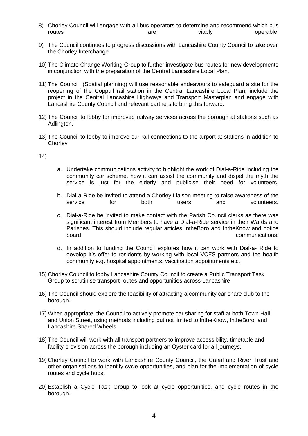- 8) Chorley Council will engage with all bus operators to determine and recommend which bus<br>operable. routes are viably contracts are viably the contracts operable.
- 9) The Council continues to progress discussions with Lancashire County Council to take over the Chorley Interchange.
- 10) The Climate Change Working Group to further investigate bus routes for new developments in conjunction with the preparation of the Central Lancashire Local Plan.
- 11) The Council (Spatial planning) will use reasonable endeavours to safeguard a site for the reopening of the Coppull rail station in the Central Lancashire Local Plan, include the project in the Central Lancashire Highways and Transport Masterplan and engage with Lancashire County Council and relevant partners to bring this forward.
- 12) The Council to lobby for improved railway services across the borough at stations such as Adlington.
- 13) The Council to lobby to improve our rail connections to the airport at stations in addition to **Chorley**

14)

- a. Undertake communications activity to highlight the work of Dial-a-Ride including the community car scheme, how it can assist the community and dispel the myth the service is just for the elderly and publicise their need for volunteers.
- b. Dial-a-Ride be invited to attend a Chorley Liaison meeting to raise awareness of the service for both users and volunteers.
- c. Dial-a-Ride be invited to make contact with the Parish Council clerks as there was significant interest from Members to have a Dial-a-Ride service in their Wards and Parishes. This should include regular articles IntheBoro and IntheKnow and notice communications.
- d. In addition to funding the Council explores how it can work with Dial-a- Ride to develop it's offer to residents by working with local VCFS partners and the health community e.g. hospital appointments, vaccination appointments etc.
- 15) Chorley Council to lobby Lancashire County Council to create a Public Transport Task Group to scrutinise transport routes and opportunities across Lancashire
- 16) The Council should explore the feasibility of attracting a community car share club to the borough.
- 17) When appropriate, the Council to actively promote car sharing for staff at both Town Hall and Union Street, using methods including but not limited to IntheKnow, IntheBoro, and Lancashire Shared Wheels
- 18) The Council will work with all transport partners to improve accessibility, timetable and facility provision across the borough including an Oyster card for all journeys.
- 19) Chorley Council to work with Lancashire County Council, the Canal and River Trust and other organisations to identify cycle opportunities, and plan for the implementation of cycle routes and cycle hubs.
- 20) Establish a Cycle Task Group to look at cycle opportunities, and cycle routes in the borough.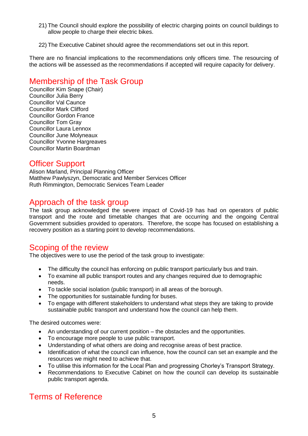- 21) The Council should explore the possibility of electric charging points on council buildings to allow people to charge their electric bikes.
- 22) The Executive Cabinet should agree the recommendations set out in this report.

There are no financial implications to the recommendations only officers time. The resourcing of the actions will be assessed as the recommendations if accepted will require capacity for delivery.

# Membership of the Task Group

Councillor Kim Snape (Chair) Councillor Julia Berry Councillor Val Caunce Councillor Mark Clifford Councillor Gordon France Councillor Tom Gray Councillor Laura Lennox Councillor June Molyneaux Councillor Yvonne Hargreaves Councillor Martin Boardman

### Officer Support

Alison Marland, Principal Planning Officer Matthew Pawlyszyn, Democratic and Member Services Officer Ruth Rimmington, Democratic Services Team Leader

## Approach of the task group

The task group acknowledged the severe impact of Covid-19 has had on operators of public transport and the route and timetable changes that are occurring and the ongoing Central Government subsidies provided to operators. Therefore, the scope has focused on establishing a recovery position as a starting point to develop recommendations.

### Scoping of the review

The objectives were to use the period of the task group to investigate:

- The difficulty the council has enforcing on public transport particularly bus and train.
- To examine all public transport routes and any changes required due to demographic needs.
- To tackle social isolation (public transport) in all areas of the borough.
- The opportunities for sustainable funding for buses.
- To engage with different stakeholders to understand what steps they are taking to provide sustainable public transport and understand how the council can help them.

The desired outcomes were:

- An understanding of our current position the obstacles and the opportunities.
- To encourage more people to use public transport.
- Understanding of what others are doing and recognise areas of best practice.
- Identification of what the council can influence, how the council can set an example and the resources we might need to achieve that.
- To utilise this information for the Local Plan and progressing Chorley's Transport Strategy.
- Recommendations to Executive Cabinet on how the council can develop its sustainable public transport agenda.

# Terms of Reference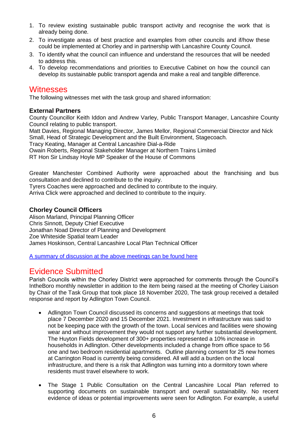- 1. To review existing sustainable public transport activity and recognise the work that is already being done.
- 2. To investigate areas of best practice and examples from other councils and if/how these could be implemented at Chorley and in partnership with Lancashire County Council.
- 3. To identify what the council can influence and understand the resources that will be needed to address this.
- 4. To develop recommendations and priorities to Executive Cabinet on how the council can develop its sustainable public transport agenda and make a real and tangible difference.

### **Witnesses**

The following witnesses met with the task group and shared information:

#### **External Partners**

County Councillor Keith Iddon and Andrew Varley, Public Transport Manager, Lancashire County Council relating to public transport.

Matt Davies, Regional Managing Director, James Mellor, Regional Commercial Director and Nick Small, Head of Strategic Development and the Built Environment, Stagecoach.

Tracy Keating, Manager at Central Lancashire Dial-a-Ride

Owain Roberts, Regional Stakeholder Manager at Northern Trains Limited

RT Hon Sir Lindsay Hoyle MP Speaker of the House of Commons

Greater Manchester Combined Authority were approached about the franchising and bus consultation and declined to contribute to the inquiry.

Tyrers Coaches were approached and declined to contribute to the inquiry.

Arriva Click were approached and declined to contribute to the inquiry.

#### **Chorley Council Officers**

Alison Marland, Principal Planning Officer Chris Sinnott, Deputy Chief Executive Jonathan Noad Director of Planning and Development Zoe Whiteside Spatial team Leader James Hoskinson, Central Lancashire Local Plan Technical Officer

[A summary of discussion at the above meetings can be found here](https://democracy.chorley.gov.uk/mgCommitteeDetails.aspx?ID=1008)

### Evidence Submitted

Parish Councils within the Chorley District were approached for comments through the Council's IntheBoro monthly newsletter in addition to the item being raised at the meeting of Chorley Liaison by Chair of the Task Group that took place 18 November 2020, The task group received a detailed response and report by Adlington Town Council.

- Adlington Town Council discussed its concerns and suggestions at meetings that took place 7 December 2020 and 15 December 2021. Investment in infrastructure was said to not be keeping pace with the growth of the town. Local services and facilities were showing wear and without improvement they would not support any further substantial development. The Huyton Fields development of 300+ properties represented a 10% increase in households in Adlington. Other developments included a change from office space to 56 one and two bedroom residential apartments. Outline planning consent for 25 new homes at Carrington Road is currently being considered. All will add a burden on the local infrastructure, and there is a risk that Adlington was turning into a dormitory town where residents must travel elsewhere to work.
- The Stage 1 Public Consultation on the Central Lancashire Local Plan referred to supporting documents on sustainable transport and overall sustainability. No recent evidence of ideas or potential improvements were seen for Adlington. For example, a useful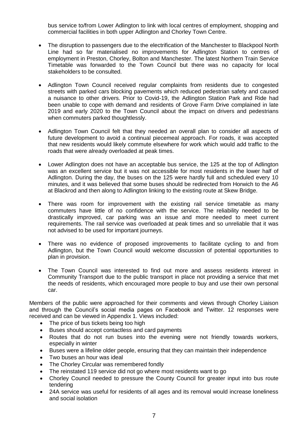bus service to/from Lower Adlington to link with local centres of employment, shopping and commercial facilities in both upper Adlington and Chorley Town Centre.

- The disruption to passengers due to the electrification of the Manchester to Blackpool North Line had so far materialised no improvements for Adlington Station to centres of employment in Preston, Chorley, Bolton and Manchester. The latest Northern Train Service Timetable was forwarded to the Town Council but there was no capacity for local stakeholders to be consulted.
- Adlington Town Council received regular complaints from residents due to congested streets with parked cars blocking pavements which reduced pedestrian safety and caused a nuisance to other drivers. Prior to Covid-19, the Adlington Station Park and Ride had been unable to cope with demand and residents of Grove Farm Drive complained in late 2019 and early 2020 to the Town Council about the impact on drivers and pedestrians when commuters parked thoughtlessly.
- Adlington Town Council felt that they needed an overall plan to consider all aspects of future development to avoid a continual piecemeal approach. For roads, it was accepted that new residents would likely commute elsewhere for work which would add traffic to the roads that were already overloaded at peak times.
- Lower Adlington does not have an acceptable bus service, the 125 at the top of Adlington was an excellent service but it was not accessible for most residents in the lower half of Adlington. During the day, the buses on the 125 were hardly full and scheduled every 10 minutes, and it was believed that some buses should be redirected from Horwich to the A6 at Blackrod and then along to Adlington linking to the existing route at Skew Bridge.
- There was room for improvement with the existing rail service timetable as many commuters have little of no confidence with the service. The reliability needed to be drastically improved, car parking was an issue and more needed to meet current requirements. The rail service was overloaded at peak times and so unreliable that it was not advised to be used for important journeys.
- There was no evidence of proposed improvements to facilitate cycling to and from Adlington, but the Town Council would welcome discussion of potential opportunities to plan in provision.
- The Town Council was interested to find out more and assess residents interest in Community Transport due to the public transport in place not providing a service that met the needs of residents, which encouraged more people to buy and use their own personal car.

Members of the public were approached for their comments and views through Chorley Liaison and through the Council's social media pages on Facebook and Twitter. 12 responses were received and can be viewed in Appendix 1. Views included:

- The price of bus tickets being too high
- Buses should accept contactless and card payments
- Routes that do not run buses into the evening were not friendly towards workers, especially in winter
- Buses were a lifeline older people, ensuring that they can maintain their independence
- Two buses an hour was ideal
- The Chorley Circular was remembered fondly
- The reinstated 119 service did not go where most residents want to go
- Chorley Council needed to pressure the County Council for greater input into bus route tendering
- 24A service was useful for residents of all ages and its removal would increase loneliness and social isolation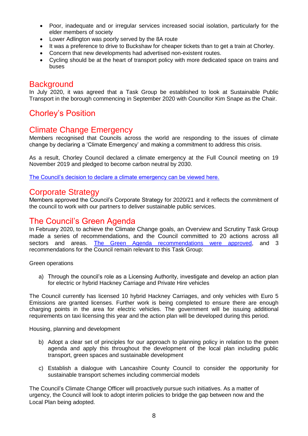- Poor, inadequate and or irregular services increased social isolation, particularly for the elder members of society
- Lower Adlington was poorly served by the 8A route
- It was a preference to drive to Buckshaw for cheaper tickets than to get a train at Chorley.
- Concern that new developments had advertised non-existent routes.
- Cycling should be at the heart of transport policy with more dedicated space on trains and buses

### **Background**

In July 2020, it was agreed that a Task Group be established to look at Sustainable Public Transport in the borough commencing in September 2020 with Councillor Kim Snape as the Chair.

# Chorley's Position

## Climate Change Emergency

Members recognised that Councils across the world are responding to the issues of climate change by declaring a 'Climate Emergency' and making a commitment to address this crisis.

As a result, Chorley Council declared a climate emergency at the Full Council meeting on 19 November 2019 and pledged to become carbon neutral by 2030.

[The Council's decision to declare a climate emergency can be viewed here.](https://democracy.chorley.gov.uk/documents/g7247/Printed%20minutes%2019th-Nov-2019%2018.30%20Council.pdf?T=1)

### Corporate Strategy

Members approved the Council's Corporate Strategy for 2020/21 and it reflects the commitment of the council to work with our partners to deliver sustainable public services.

## The Council's Green Agenda

In February 2020, to achieve the Climate Change goals, an Overview and Scrutiny Task Group made a series of recommendations, and the Council committed to 20 actions across all sectors and areas. Th[e Green Agenda recommendations were approved,](https://democracy.chorley.gov.uk/documents/s109771/Task%20Group%20report.pdf) and 3 recommendations for the Council remain relevant to this Task Group:

Green operations

a) Through the council's role as a Licensing Authority, investigate and develop an action plan for electric or hybrid Hackney Carriage and Private Hire vehicles

The Council currently has licensed 10 hybrid Hackney Carriages, and only vehicles with Euro 5 Emissions are granted licenses. Further work is being completed to ensure there are enough charging points in the area for electric vehicles. The government will be issuing additional requirements on taxi licensing this year and the action plan will be developed during this period.

Housing, planning and development

- b) Adopt a clear set of principles for our approach to planning policy in relation to the green agenda and apply this throughout the development of the local plan including public transport, green spaces and sustainable development
- c) Establish a dialogue with Lancashire County Council to consider the opportunity for sustainable transport schemes including commercial models

The Council's Climate Change Officer will proactively pursue such initiatives. As a matter of urgency, the Council will look to adopt interim policies to bridge the gap between now and the Local Plan being adopted.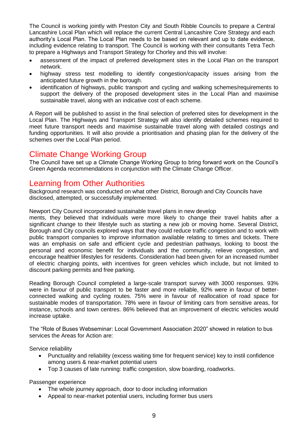The Council is working jointly with Preston City and South Ribble Councils to prepare a Central Lancashire Local Plan which will replace the current Central Lancashire Core Strategy and each authority's Local Plan. The Local Plan needs to be based on relevant and up to date evidence, including evidence relating to transport. The Council is working with their consultants Tetra Tech to prepare a Highways and Transport Strategy for Chorley and this will involve:

- assessment of the impact of preferred development sites in the Local Plan on the transport network.
- highway stress test modelling to identify congestion/capacity issues arising from the anticipated future growth in the borough.
- identification of highways, public transport and cycling and walking schemes/requirements to support the delivery of the proposed development sites in the Local Plan and maximise sustainable travel, along with an indicative cost of each scheme.

A Report will be published to assist in the final selection of preferred sites for development in the Local Plan. The Highways and Transport Strategy will also identify detailed schemes required to meet future transport needs and maximise sustainable travel along with detailed costings and funding opportunities. It will also provide a prioritisation and phasing plan for the delivery of the schemes over the Local Plan period.

## Climate Change Working Group

The Council have set up a Climate Change Working Group to bring forward work on the Council's Green Agenda recommendations in conjunction with the Climate Change Officer.

### Learning from Other Authorities

Background research was conducted on what other District, Borough and City Councils have disclosed, attempted, or successfully implemented.

Newport City Council incorporated sustainable travel plans in new develop

ments, they believed that individuals were more likely to change their travel habits after a significant change to their lifestyle such as starting a new job or moving home. Several District, Borough and City councils explored ways that they could reduce traffic congestion and to work with public transport companies to improve information available relating to times and tickets. There was an emphasis on safe and efficient cycle and pedestrian pathways, looking to boost the personal and economic benefit for individuals and the community, relieve congestion, and encourage healthier lifestyles for residents. Consideration had been given for an increased number of electric charging points, with incentives for green vehicles which include, but not limited to discount parking permits and free parking.

Reading Borough Council completed a large-scale transport survey with 3000 responses. 93% were in favour of public transport to be faster and more reliable, 92% were in favour of betterconnected walking and cycling routes. 75% were in favour of reallocation of road space for sustainable modes of transportation. 78% were in favour of limiting cars from sensitive areas, for instance, schools and town centres. 86% believed that an improvement of electric vehicles would increase uptake.

The "Role of Buses Webseminar: Local Government Association 2020" showed in relation to bus services the Areas for Action are:

Service reliability

- Punctuality and reliability (excess waiting time for frequent service) key to instil confidence among users & near-market potential users
- Top 3 causes of late running: traffic congestion, slow boarding, roadworks.

Passenger experience

- The whole journey approach, door to door including information
- Appeal to near-market potential users, including former bus users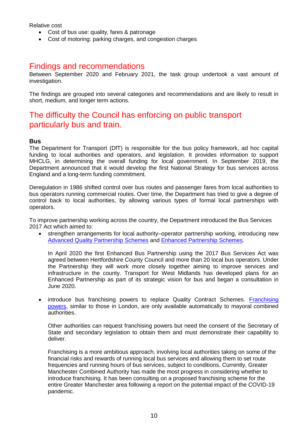Relative cost

- Cost of bus use: quality, fares & patronage
- Cost of motoring: parking charges, and congestion charges

## Findings and recommendations

Between September 2020 and February 2021, the task group undertook a vast amount of investigation.

The findings are grouped into several categories and recommendations and are likely to result in short, medium, and longer term actions.

## The difficulty the Council has enforcing on public transport particularly bus and train.

#### **Bus**

The Department for Transport (DfT) is responsible for the bus policy framework, ad hoc capital funding to local authorities and operators, and legislation. It provides information to support MHCLG, in determining the overall funding for local government. In September 2019, the Department announced that it would develop the first National Strategy for bus services across England and a long-term funding commitment.

Deregulation in 1986 shifted control over bus routes and passenger fares from local authorities to bus operators running commercial routes. Over time, the Department has tried to give a degree of control back to local authorities, by allowing various types of formal local partnerships with operators.

To improve partnership working across the country, the Department introduced the Bus Services 2017 Act which aimed to:

• strengthen arrangements for local authority–operator partnership working, introducing new [Advanced Quality Partnership Schemes](https://assets.publishing.service.gov.uk/government/uploads/system/uploads/attachment_data/file/885870/bus-services-act-2017-advanced-quality-partnerships-document.pdf) and [Enhanced Partnership Schemes.](https://assets.publishing.service.gov.uk/government/uploads/system/uploads/attachment_data/file/959501/bus-services-act-2017-enhanced-partnerships-guidance.pdf)

In April 2020 the first Enhanced Bus Partnership using the 2017 Bus Services Act was agreed between Hertfordshire County Council and more than 20 local bus operators. Under the Partnership they will work more closely together aiming to improve services and infrastructure in the county. Transport for West Midlands has developed plans for an Enhanced Partnership as part of its strategic vision for bus and began a consultation in June 2020.

• introduce bus franchising powers to replace Quality Contract Schemes. Franchising [powers,](https://assets.publishing.service.gov.uk/government/uploads/system/uploads/attachment_data/file/918664/bus-services-act-2017-franchising-scheme-guidance.pdf) similar to those in London, are only available automatically to mayoral combined authorities.

Other authorities can request franchising powers but need the consent of the Secretary of State and secondary legislation to obtain them and must demonstrate their capability to deliver.

Franchising is a more ambitious approach, involving local authorities taking on some of the financial risks and rewards of running local bus services and allowing them to set route frequencies and running hours of bus services, subject to conditions. Currently, Greater Manchester Combined Authority has made the most progress in considering whether to introduce franchising. It has been consulting on a proposed franchising scheme for the entire Greater Manchester area following a report on the potential impact of the COVID-19 pandemic.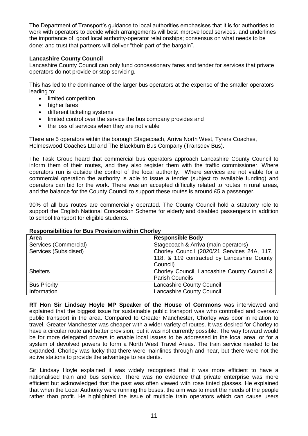The Department of Transport's guidance to local authorities emphasises that it is for authorities to work with operators to decide which arrangements will best improve local services, and underlines the importance of: good local authority-operator relationships; consensus on what needs to be done; and trust that partners will deliver "their part of the bargain".

#### **Lancashire County Council**

Lancashire County Council can only fund concessionary fares and tender for services that private operators do not provide or stop servicing.

This has led to the dominance of the larger bus operators at the expense of the smaller operators leading to:

- limited competition
- higher fares
- different ticketing systems
- limited control over the service the bus company provides and
- the loss of services when they are not viable

There are 5 operators within the borough Stagecoach, Arriva North West, Tyrers Coaches, Holmeswood Coaches Ltd and The Blackburn Bus Company (Transdev Bus).

The Task Group heard that commercial bus operators approach Lancashire County Council to inform them of their routes, and they also register them with the traffic commissioner. Where operators run is outside the control of the local authority. Where services are not viable for a commercial operation the authority is able to issue a tender (subject to available funding) and operators can bid for the work. There was an accepted difficulty related to routes in rural areas, and the balance for the County Council to support these routes is around £5 a passenger.

90% of all bus routes are commercially operated. The County Council hold a statutory role to support the English National Concession Scheme for elderly and disabled passengers in addition to school transport for eligible students.

| Area                  | <b>Responsible Body</b>                      |  |  |  |  |
|-----------------------|----------------------------------------------|--|--|--|--|
| Services (Commercial) | Stagecoach & Arriva (main operators)         |  |  |  |  |
| Services (Subsidised) | Chorley Council (2020/21 Services 24A, 117,  |  |  |  |  |
|                       | 118, & 119 contracted by Lancashire County   |  |  |  |  |
|                       | Council)                                     |  |  |  |  |
| <b>Shelters</b>       | Chorley Council, Lancashire County Council & |  |  |  |  |
|                       | <b>Parish Councils</b>                       |  |  |  |  |
| <b>Bus Priority</b>   | <b>Lancashire County Council</b>             |  |  |  |  |
| Information           | Lancashire County Council                    |  |  |  |  |

#### **Responsibilities for Bus Provision within Chorley**

**RT Hon Sir Lindsay Hoyle MP Speaker of the House of Commons** was interviewed and explained that the biggest issue for sustainable public transport was who controlled and oversaw public transport in the area. Compared to Greater Manchester, Chorley was poor in relation to travel. Greater Manchester was cheaper with a wider variety of routes. It was desired for Chorley to have a circular route and better provision, but it was not currently possible. The way forward would be for more delegated powers to enable local issues to be addressed in the local area, or for a system of devolved powers to form a North West Travel Areas. The train service needed to be expanded, Chorley was lucky that there were mainlines through and near, but there were not the active stations to provide the advantage to residents.

Sir Lindsay Hoyle explained it was widely recognised that it was more efficient to have a nationalised train and bus service. There was no evidence that private enterprise was more efficient but acknowledged that the past was often viewed with rose tinted glasses. He explained that when the Local Authority were running the buses, the aim was to meet the needs of the people rather than profit. He highlighted the issue of multiple train operators which can cause users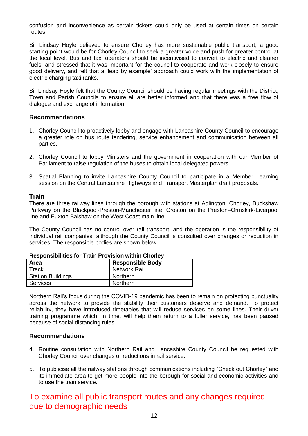confusion and inconvenience as certain tickets could only be used at certain times on certain routes.

Sir Lindsay Hoyle believed to ensure Chorley has more sustainable public transport, a good starting point would be for Chorley Council to seek a greater voice and push for greater control at the local level. Bus and taxi operators should be incentivised to convert to electric and cleaner fuels, and stressed that it was important for the council to cooperate and work closely to ensure good delivery, and felt that a 'lead by example' approach could work with the implementation of electric charging taxi ranks.

Sir Lindsay Hoyle felt that the County Council should be having regular meetings with the District, Town and Parish Councils to ensure all are better informed and that there was a free flow of dialogue and exchange of information.

#### **Recommendations**

- 1. Chorley Council to proactively lobby and engage with Lancashire County Council to encourage a greater role on bus route tendering, service enhancement and communication between all parties.
- 2. Chorley Council to lobby Ministers and the government in cooperation with our Member of Parliament to raise regulation of the buses to obtain local delegated powers.
- 3. Spatial Planning to invite Lancashire County Council to participate in a Member Learning session on the Central Lancashire Highways and Transport Masterplan draft proposals.

#### **Train**

There are three railway lines through the borough with stations at Adlington, Chorley, Buckshaw Parkway on the Blackpool-Preston-Manchester line; Croston on the Preston–Ormskirk-Liverpool line and Euxton Balshaw on the West Coast main line.

The County Council has no control over rail transport, and the operation is the responsibility of individual rail companies, although the County Council is consulted over changes or reduction in services. The responsible bodies are shown below

| Area                     | <b>Responsible Body</b> |  |  |  |  |
|--------------------------|-------------------------|--|--|--|--|
| Track                    | Network Rail            |  |  |  |  |
| <b>Station Buildings</b> | Northern                |  |  |  |  |
| <b>Services</b>          | Northern                |  |  |  |  |

#### **Responsibilities for Train Provision within Chorley**

Northern Rail's focus during the COVID-19 pandemic has been to remain on protecting punctuality across the network to provide the stability their customers deserve and demand. To protect reliability, they have introduced timetables that will reduce services on some lines. Their driver training programme which, in time, will help them return to a fuller service, has been paused because of social distancing rules.

#### **Recommendations**

- 4. Routine consultation with Northern Rail and Lancashire County Council be requested with Chorley Council over changes or reductions in rail service.
- 5. To publicise all the railway stations through communications including "Check out Chorley" and its immediate area to get more people into the borough for social and economic activities and to use the train service.

# To examine all public transport routes and any changes required due to demographic needs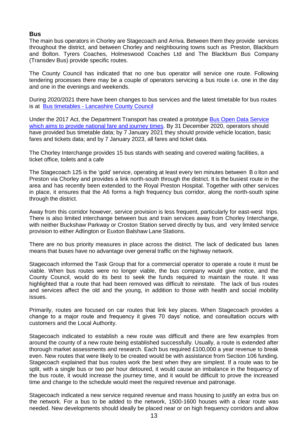#### **Bus**

The main bus operators in Chorley are Stagecoach and Arriva. Between them they provide services throughout the district, and between Chorley and neighbouring towns such as Preston, Blackburn and Bolton. Tyrers Coaches, Holmeswood Coaches Ltd and The Blackburn Bus Company (Transdev Bus) provide specific routes.

The County Council has indicated that no one bus operator will service one route. Following tendering processes there may be a couple of operators servicing a bus route i.e. one in the day and one in the evenings and weekends.

During 2020/2021 there have been changes to bus services and the latest timetable for bus routes is at Bus timetables - [Lancashire County Council](https://www.lancashire.gov.uk/roads-parking-and-travel/public-transport/bus-timetables/)

Under the 2017 Act, the Department Transport has created a prototype [Bus Open Data Service](https://www.bus-data.dft.gov.uk/)  [which aims to provide national fare and journey times.](https://www.bus-data.dft.gov.uk/) By 31 December 2020, operators should have provided bus timetable data; by 7 January 2021 they should provide vehicle location, basic fares and tickets data; and by 7 January 2023, all fares and ticket data.

The Chorley Interchange provides 15 bus stands with seating and covered waiting facilities, a ticket office, toilets and a cafe

The Stagecoach 125 is the 'gold' service, operating at least every ten minutes between B o lton and Preston via Chorley and provides a link north-south through the district. It is the busiest route in the area and has recently been extended to the Royal Preston Hospital. Together with other services in place, it ensures that the A6 forms a high frequency bus corridor, along the north-south spine through the district.

Away from this corridor however, service provision is less frequent, particularly for east-west trips. There is also limited interchange between bus and train services away from Chorley Interchange, with neither Buckshaw Parkway or Croston Station served directly by bus, and very limited service provision to either Adlington or Euxton Balshaw Lane Stations.

There are no bus priority measures in place across the district. The lack of dedicated bus lanes means that buses have no advantage over general traffic on the highway network.

Stagecoach informed the Task Group that for a commercial operator to operate a route it must be viable. When bus routes were no longer viable, the bus company would give notice, and the County Council, would do its best to seek the funds required to maintain the route. It was highlighted that a route that had been removed was difficult to reinstate. The lack of bus routes and services affect the old and the young, in addition to those with health and social mobility issues.

Primarily, routes are focused on car routes that link key places. When Stagecoach provides a change to a major route and frequency it gives 70 days' notice, and consultation occurs with customers and the Local Authority.

Stagecoach indicated to establish a new route was difficult and there are few examples from around the county of a new route being established successfully. Usually, a route is extended after thorough market assessments and research. Each bus required £100,000 a year revenue to break even. New routes that were likely to be created would be with assistance from Section 106 funding. Stagecoach explained that bus routes work the best when they are simplest. If a route was to be split, with a single bus or two per hour detoured, it would cause an imbalance in the frequency of the bus route, it would increase the journey time, and it would be difficult to prove the increased time and change to the schedule would meet the required revenue and patronage.

Stagecoach indicated a new service required revenue and mass housing to justify an extra bus on the network. For a bus to be added to the network, 1500-1600 houses with a clear route was needed. New developments should ideally be placed near or on high frequency corridors and allow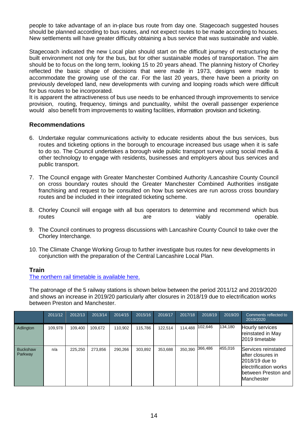people to take advantage of an in-place bus route from day one. Stagecoach suggested houses should be planned according to bus routes, and not expect routes to be made according to houses. New settlements will have greater difficulty obtaining a bus service that was sustainable and viable.

Stagecoach indicated the new Local plan should start on the difficult journey of restructuring the built environment not only for the bus, but for other sustainable modes of transportation. The aim should be to focus on the long term, looking 15 to 20 years ahead. The planning history of Chorley reflected the basic shape of decisions that were made in 1973, designs were made to accommodate the growing use of the car. For the last 20 years, there have been a priority on previously developed land, new developments with curving and looping roads which were difficult for bus routes to be incorporated.

It is apparent the attractiveness of bus use needs to be enhanced through improvements to service provision, routing, frequency, timings and punctuality, whilst the overall passenger experience would also benefit from improvements to waiting facilities, information provision and ticketing.

#### **Recommendations**

- 6. Undertake regular communications activity to educate residents about the bus services, bus routes and ticketing options in the borough to encourage increased bus usage when it is safe to do so. The Council undertakes a borough wide public transport survey using social media & other technology to engage with residents, businesses and employers about bus services and public transport.
- 7. The Council engage with Greater Manchester Combined Authority /Lancashire County Council on cross boundary routes should the Greater Manchester Combined Authorities instigate franchising and request to be consulted on how bus services are run across cross boundary routes and be included in their integrated ticketing scheme.
- 8. Chorley Council will engage with all bus operators to determine and recommend which bus routes are viably operable.
- 9. The Council continues to progress discussions with Lancashire County Council to take over the Chorley Interchange.
- 10. The Climate Change Working Group to further investigate bus routes for new developments in conjunction with the preparation of the Central Lancashire Local Plan.

#### **Train**

[The northern rail timetable is available here.](https://www.northernrailway.co.uk/key-worker-timetables?msclkid=c94287b0319419046648e7aa9cfa1e7d&utm_source=bing&utm_medium=cpc&utm_campaign=Brand%20-%20New%20Timetable%20-%20Exact&utm_term=northern%20rail%20timetable&utm_content=Timetable)

The patronage of the 5 railway stations is shown below between the period 2011/12 and 2019/2020 and shows an increase in 2019/20 particularly after closures in 2018/19 due to electrification works between Preston and Manchester.

|                            | 2011/12 | 2012/13 | 2013/14 | 2014/15 | 2015/16 | 2016/17 | 2017/18 | 2018/19 | 2019/20 | Comments reflected to<br>2019/2020                                                                                        |
|----------------------------|---------|---------|---------|---------|---------|---------|---------|---------|---------|---------------------------------------------------------------------------------------------------------------------------|
| Adlington                  | 109.978 | 109.400 | 109.672 | 110.902 | 115.786 | 122.514 | 114.488 | 102,646 | 134,180 | Hourly services<br>reinstated in May<br>2019 timetable                                                                    |
| <b>Buckshaw</b><br>Parkway | n/a     | 225.250 | 273.856 | 290.266 | 303.892 | 353,688 | 350,390 | 366,486 | 455,016 | Services reinstated<br>lafter closures in<br>2018/19 due to<br>electrification works<br>between Preston and<br>Manchester |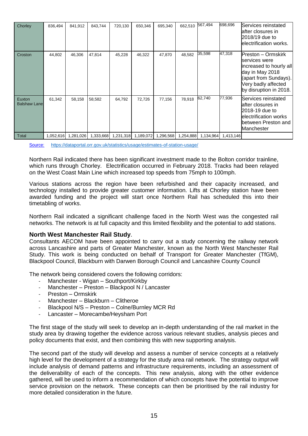| Chorley                       | 836,494   | 841,912   | 843,744   | 720,130 | 650,346             | 695,340   | 662,510   | 567,494   | 698,696   | Services reinstated<br>lafter closures in<br>2018/19 due to<br>electrification works.                                                                       |
|-------------------------------|-----------|-----------|-----------|---------|---------------------|-----------|-----------|-----------|-----------|-------------------------------------------------------------------------------------------------------------------------------------------------------------|
| Croston                       | 44,802    | 46,306    | 47,814    | 45,228  | 46,322              | 47,870    | 48,582    | 35,598    | 47,318    | Preston – Ormskirk<br>services were<br>increased to hourly all<br>day in May 2018<br>(apart from Sundays).<br>Very badly affected<br>by disruption in 2018. |
| Euxton<br><b>Balshaw Lane</b> | 61,342    | 58,158    | 58,582    | 64,792  | 72,726              | 77,156    | 78,918    | 62,740    | 77,936    | Services reinstated<br>lafter closures in<br>2018-19 due to<br>lelectrification works<br>between Preston and<br>Manchester                                  |
| Total                         | 1,052,616 | 1,281,026 | 1,333,668 |         | 1,231,318 1,189,072 | 1,296,568 | 1,254,888 | 1,134,964 | 1,413,146 |                                                                                                                                                             |

[Source: https://dataportal.orr.gov.uk/statistics/usage/estimates-of-station-usage/](https://dataportal.orr.gov.uk/statistics/usage/estimates-of-station-usage/)

Northern Rail indicated there has been significant investment made to the Bolton corridor trainline, which runs through Chorley. Electrification occurred in February 2018. Tracks had been relayed on the West Coast Main Line which increased top speeds from 75mph to 100mph.

Various stations across the region have been refurbished and their capacity increased, and technology installed to provide greater customer information. Lifts at Chorley station have been awarded funding and the project will start once Northern Rail has scheduled this into their timetabling of works.

Northern Rail indicated a significant challenge faced in the North West was the congested rail networks. The network is at full capacity and this limited flexibility and the potential to add stations.

#### **North West Manchester Rail Study**.

Consultants AECOM have been appointed to carry out a study concerning the railway network across Lancashire and parts of Greater Manchester, known as the North West Manchester Rail Study. This work is being conducted on behalf of Transport for Greater Manchester (TfGM), Blackpool Council, Blackburn with Darwen Borough Council and Lancashire County Council

The network being considered covers the following corridors:

- Manchester Wigan Southport/Kirkby
- Manchester Preston Blackpool N / Lancaster
- Preston Ormskirk
- Manchester Blackburn Clitheroe
- Blackpool N/S Preston Colne/Burnley MCR Rd
- Lancaster Morecambe/Heysham Port

The first stage of the study will seek to develop an in-depth understanding of the rail market in the study area by drawing together the evidence across various relevant studies, analysis pieces and policy documents that exist, and then combining this with new supporting analysis.

The second part of the study will develop and assess a number of service concepts at a relatively high level for the development of a strategy for the study area rail network. The strategy output will include analysis of demand patterns and infrastructure requirements, including an assessment of the deliverability of each of the concepts. This new analysis, along with the other evidence gathered, will be used to inform a recommendation of which concepts have the potential to improve service provision on the network. These concepts can then be prioritised by the rail industry for more detailed consideration in the future.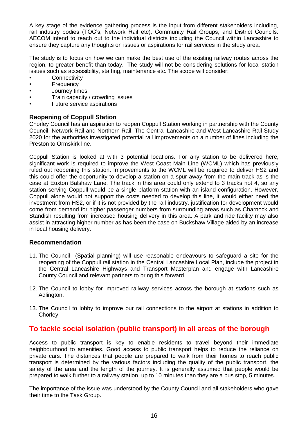A key stage of the evidence gathering process is the input from different stakeholders including, rail industry bodies (TOC's, Network Rail etc), Community Rail Groups, and District Councils. AECOM intend to reach out to the individual districts including the Council within Lancashire to ensure they capture any thoughts on issues or aspirations for rail services in the study area.

The study is to focus on how we can make the best use of the existing railway routes across the region, to greater benefit than today. The study will not be considering solutions for local station issues such as accessibility, staffing, maintenance etc. The scope will consider:

- **Connectivity**
- **Frequency**
- Journey times
- Train capacity / crowding issues
- Future service aspirations

#### **Reopening of Coppull Station**

Chorley Council has an aspiration to reopen Coppull Station working in partnership with the County Council, Network Rail and Northern Rail. The Central Lancashire and West Lancashire Rail Study 2020 for the authorities investigated potential rail improvements on a number of lines including the Preston to Ormskirk line.

Coppull Station is looked at with 3 potential locations. For any station to be delivered here, significant work is required to improve the West Coast Main Line (WCML) which has previously ruled out reopening this station. Improvements to the WCML will be required to deliver HS2 and this could offer the opportunity to develop a station on a spur away from the main track as is the case at Euxton Balshaw Lane. The track in this area could only extend to 3 tracks not 4, so any station serving Coppull would be a single platform station with an island configuration. However, Coppull alone would not support the costs needed to develop this line, it would either need the investment from HS2, or if it is not provided by the rail industry, justification for development would come from demand for higher passenger numbers from surrounding areas such as Charnock and Standish resulting from increased housing delivery in this area. A park and ride facility may also assist in attracting higher number as has been the case on Buckshaw Village aided by an increase in local housing delivery.

#### **Recommendation**

- 11. The Council (Spatial planning) will use reasonable endeavours to safeguard a site for the reopening of the Coppull rail station in the Central Lancashire Local Plan, include the project in the Central Lancashire Highways and Transport Masterplan and engage with Lancashire County Council and relevant partners to bring this forward.
- 12. The Council to lobby for improved railway services across the borough at stations such as Adlington.
- 13. The Council to lobby to improve our rail connections to the airport at stations in addition to **Chorley**

### **To tackle social isolation (public transport) in all areas of the borough**

Access to public transport is key to enable residents to travel beyond their immediate neighbourhood to amenities. Good access to public transport helps to reduce the reliance on private cars. The distances that people are prepared to walk from their homes to reach public transport is determined by the various factors including the quality of the public transport, the safety of the area and the length of the journey. It is generally assumed that people would be prepared to walk further to a railway station, up to 10 minutes than they are a bus stop, 5 minutes.

The importance of the issue was understood by the County Council and all stakeholders who gave their time to the Task Group.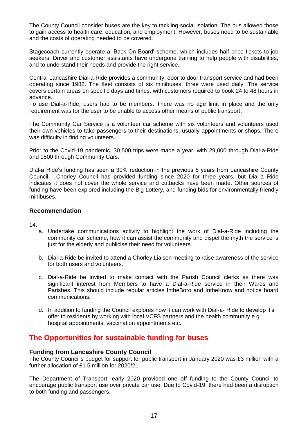The County Council consider buses are the key to tackling social isolation. The bus allowed those to gain access to health care, education, and employment. However, buses need to be sustainable and the costs of operating needed to be covered.

Stagecoach currently operate a 'Back On-Board' scheme, which includes half price tickets to job seekers. Driver and customer assistants have undergone training to help people with disabilities, and to understand their needs and provide the right service.

Central Lancashire Dial-a-Ride provides a community, door to door transport service and had been operating since 1982. The fleet consists of six minibuses, three were used daily. The service covers certain areas on specific days and times, with customers required to book 24 to 48 hours in advance.

To use Dial-a-Ride, users had to be members. There was no age limit in place and the only requirement was for the user to be unable to access other means of public transport.

The Community Car Service is a volunteer car scheme with six volunteers and volunteers used their own vehicles to take passengers to their destinations, usually appointments or shops. There was difficulty in finding volunteers.

Prior to the Covid-19 pandemic, 30,500 trips were made a year, with 29,000 through Dial-a-Ride and 1500 through Community Cars.

Dial-a Ride's funding has seen a 30% reduction in the previous 5 years from Lancashire County Council. Chorley Council has provided funding since 2020 for three years, but Dial-a Ride indicates it does not cover the whole service and cutbacks have been made. Other sources of funding have been explored including the Big Lottery, and funding bids for environmentally friendly minibuses.

#### **Recommendation**

14.

- a. Undertake communications activity to highlight the work of Dial-a-Ride including the community car scheme, how it can assist the community and dispel the myth the service is just for the elderly and publicise their need for volunteers.
- b. Dial-a-Ride be invited to attend a Chorley Liaison meeting to raise awareness of the service for both users and volunteers.
- c. Dial-a-Ride be invited to make contact with the Parish Council clerks as there was significant interest from Members to have a Dial-a-Ride service in their Wards and Parishes. This should include regular articles IntheBoro and IntheKnow and notice board communications.
- d. In addition to funding the Council explores how it can work with Dial-a- Ride to develop it's offer to residents by working with local VCFS partners and the health community e.g. hospital appointments, vaccination appointments etc.

### **The Opportunities for sustainable funding for buses**

#### **Funding from Lancashire County Council**

The County Council's budget for support for public transport in January 2020 was £3 million with a further allocation of £1.5 million for 2020/21.

The Department of Transport, early 2020 provided one off funding to the County Council to encourage public transport use over private car use. Due to Covid-19, there had been a disruption to both funding and passengers.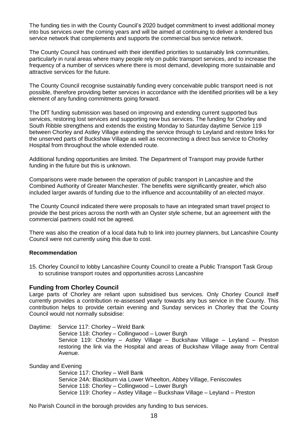The funding ties in with the County Council's 2020 budget commitment to invest additional money into bus services over the coming years and will be aimed at continuing to deliver a tendered bus service network that complements and supports the commercial bus service network.

The County Council has continued with their identified priorities to sustainably link communities, particularly in rural areas where many people rely on public transport services, and to increase the frequency of a number of services where there is most demand, developing more sustainable and attractive services for the future.

The County Council recognise sustainably funding every conceivable public transport need is not possible, therefore providing better services in accordance with the identified priorities will be a key element of any funding commitments going forward.

The DfT funding submission was based on improving and extending current supported bus services, restoring lost services and supporting new bus services. The funding for Chorley and South Ribble strengthens and extends the existing Monday to Saturday daytime Service 119 between Chorley and Astley Village extending the service through to Leyland and restore links for the unserved parts of Buckshaw Village as well as reconnecting a direct bus service to Chorley Hospital from throughout the whole extended route.

Additional funding opportunities are limited. The Department of Transport may provide further funding in the future but this is unknown.

Comparisons were made between the operation of public transport in Lancashire and the Combined Authority of Greater Manchester. The benefits were significantly greater, which also included larger awards of funding due to the influence and accountability of an elected mayor.

The County Council indicated there were proposals to have an integrated smart travel project to provide the best prices across the north with an Oyster style scheme, but an agreement with the commercial partners could not be agreed.

There was also the creation of a local data hub to link into journey planners, but Lancashire County Council were not currently using this due to cost.

#### **Recommendation**

15. Chorley Council to lobby Lancashire County Council to create a Public Transport Task Group to scrutinise transport routes and opportunities across Lancashire

#### **Funding from Chorley Council**

Large parts of Chorley are reliant upon subsidised bus services. Only Chorley Council itself currently provides a contribution re-assessed yearly towards any bus service in the County. This contribution helps to provide certain evening and Sunday services in Chorley that the County Council would not normally subsidise:

Daytime: Service 117: Chorley – Weld Bank Service 118: Chorley – Collingwood – Lower Burgh Service 119: Chorley – Astley Village – Buckshaw Village – Leyland – Preston restoring the link via the Hospital and areas of Buckshaw Village away from Central Avenue.

Sunday and Evening

Service 117: Chorley – Well Bank Service 24A: Blackburn via Lower Wheelton, Abbey Village, Feniscowles Service 118: Chorley – Collingwood – Lower Burgh Service 119: Chorley – Astley Village – Buckshaw Village – Leyland – Preston

No Parish Council in the borough provides any funding to bus services.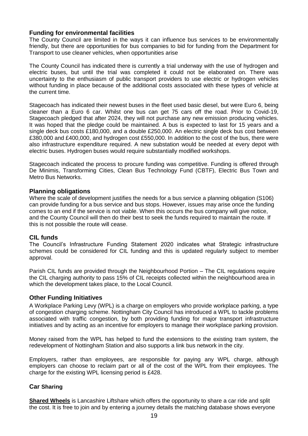#### **Funding for environmental facilities**

The County Council are limited in the ways it can influence bus services to be environmentally friendly, but there are opportunities for bus companies to bid for funding from the Department for Transport to use cleaner vehicles, when opportunities arise

The County Council has indicated there is currently a trial underway with the use of hydrogen and electric buses, but until the trial was completed it could not be elaborated on. There was uncertainty to the enthusiasm of public transport providers to use electric or hydrogen vehicles without funding in place because of the additional costs associated with these types of vehicle at the current time.

Stagecoach has indicated their newest buses in the fleet used basic diesel, but were Euro 6, being cleaner than a Euro 6 car. Whilst one bus can get 75 cars off the road. Prior to Covid-19, Stagecoach pledged that after 2024, they will not purchase any new emission producing vehicles. It was hoped that the pledge could be maintained. A bus is expected to last for 15 years and a single deck bus costs £180,000, and a double £250,000. An electric single deck bus cost between £380,000 and £400,000, and hydrogen cost £550,000. In addition to the cost of the bus, there were also infrastructure expenditure required. A new substation would be needed at every depot with electric buses. Hydrogen buses would require substantially modified workshops.

Stagecoach indicated the process to procure funding was competitive. Funding is offered through De Minimis, Transforming Cities, Clean Bus Technology Fund (CBTF), Electric Bus Town and Metro Bus Networks.

#### **Planning obligations**

Where the scale of development justifies the needs for a bus service a planning obligation (S106) can provide funding for a bus service and bus stops. However, issues may arise once the funding comes to an end if the service is not viable. When this occurs the bus company will give notice, and the County Council will then do their best to seek the funds required to maintain the route. If this is not possible the route will cease.

#### **CIL funds**

The Council's Infrastructure Funding Statement 2020 indicates what Strategic infrastructure schemes could be considered for CIL funding and this is updated regularly subject to member approval.

Parish CIL funds are provided through the Neighbourhood Portion – The CIL regulations require the CIL charging authority to pass 15% of CIL receipts collected within the neighbourhood area in which the development takes place, to the Local Council.

#### **Other Funding Initiatives**

A Workplace Parking Levy (WPL) is a charge on employers who provide workplace parking, a type of congestion charging scheme. Nottingham City Council has introduced a WPL to tackle problems associated with traffic congestion, by both providing funding for major transport infrastructure initiatives and by acting as an incentive for employers to manage their workplace parking provision.

Money raised from the WPL has helped to fund the extensions to the existing tram system, the redevelopment of Nottingham Station and also supports a link bus network in the city.

Employers, rather than employees, are responsible for paying any WPL charge, although employers can choose to reclaim part or all of the cost of the WPL from their employees. The charge for the existing WPL licensing period is £428.

#### **Car Sharing**

**[Shared Wheels](https://liftshare.com/uk/community/sharedwheels)** is Lancashire Liftshare which offers the opportunity to share a car ride and split the cost. It is free to join and by entering a journey details the matching database shows everyone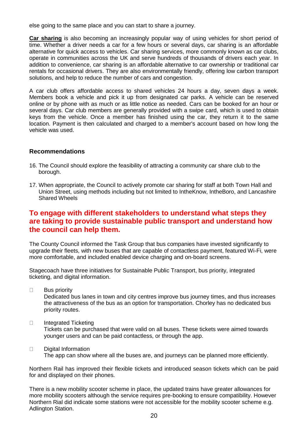else going to the same place and you can start to share a journey.

**[Car sharing](file://///MOD/mgReportDBDocs/8/0/3/R00003308/Shared%20Cars%20-%20List%20of%20Car%20Clubs%20in%20the%20UK%20-%20CoMoUK)** is also becoming an increasingly popular way of using vehicles for short period of time. Whether a driver needs a car for a few hours or several days, car sharing is an affordable alternative for quick access to vehicles. Car sharing services, more commonly known as car clubs, operate in communities across the UK and serve hundreds of thousands of drivers each year. In addition to convenience, car sharing is an affordable alternative to car ownership or traditional car rentals for occasional drivers. They are also environmentally friendly, offering low carbon transport solutions, and help to reduce the number of cars and congestion.

A car club offers affordable access to shared vehicles 24 hours a day, seven days a week. Members book a vehicle and pick it up from designated car parks. A vehicle can be reserved online or by phone with as much or as little notice as needed. Cars can be booked for an hour or several days. Car club members are generally provided with a swipe card, which is used to obtain keys from the vehicle. Once a member has finished using the car, they return it to the same location. Payment is then calculated and charged to a member's account based on how long the vehicle was used.

#### **Recommendations**

- 16. The Council should explore the feasibility of attracting a community car share club to the borough.
- 17. When appropriate, the Council to actively promote car sharing for staff at both Town Hall and Union Street, using methods including but not limited to IntheKnow, IntheBoro, and Lancashire Shared Wheels

### **To engage with different stakeholders to understand what steps they are taking to provide sustainable public transport and understand how the council can help them.**

The County Council informed the Task Group that bus companies have invested significantly to upgrade their fleets, with new buses that are capable of contactless payment, featured Wi-Fi, were more comfortable, and included enabled device charging and on-board screens.

Stagecoach have three initiatives for Sustainable Public Transport, bus priority, integrated ticketing, and digital information.

 $\Box$ Bus priority

> Dedicated bus lanes in town and city centres improve bus journey times, and thus increases the attractiveness of the bus as an option for transportation. Chorley has no dedicated bus priority routes.

 $\Box$ Integrated Ticketing

Tickets can be purchased that were valid on all buses. These tickets were aimed towards younger users and can be paid contactless, or through the app.

Digital Information  $\Box$ 

The app can show where all the buses are, and journeys can be planned more efficiently.

Northern Rail has improved their flexible tickets and introduced season tickets which can be paid for and displayed on their phones.

There is a new mobility scooter scheme in place, the updated trains have greater allowances for more mobility scooters although the service requires pre-booking to ensure compatibility. However Northern Rial did indicate some stations were not accessible for the mobility scooter scheme e.g. Adlington Station.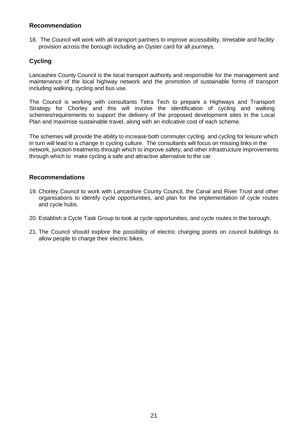#### **Recommendation**

18. The Council will work with all transport partners to improve accessibility, timetable and facility provision across the borough including an Oyster card for all journeys.

### **Cycling**

Lancashire County Council is the local transport authority and responsible for the management and maintenance of the local highway network and the promotion of sustainable forms of transport including walking, cycling and bus use.

The Council is working with consultants Tetra Tech to prepare a Highways and Transport Strategy for Chorley and this will involve the identification of cycling and walking schemes/requirements to support the delivery of the proposed development sites in the Local Plan and maximise sustainable travel, along with an indicative cost of each scheme.

The schemes will provide the ability to increase both commuter cycling and cycling for leisure which in turn will lead to a change in cycling culture. The consultants will focus on missing links in the network, junction treatments through which to improve safety, and other infrastructure improvements through which to make cycling a safe and attractive alternative to the car.

#### **Recommendations**

- 19. Chorley Council to work with Lancashire County Council, the Canal and River Trust and other organisations to identify cycle opportunities, and plan for the implementation of cycle routes and cycle hubs.
- 20. Establish a Cycle Task Group to look at cycle opportunities, and cycle routes in the borough.
- 21. The Council should explore the possibility of electric charging points on council buildings to allow people to charge their electric bikes.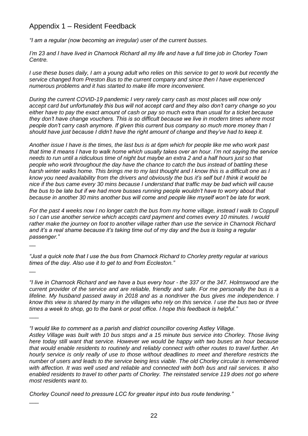## Appendix 1 – Resident Feedback

 $\overline{\phantom{a}}$ 

 $\overline{\phantom{a}}$ 

 $\overline{\phantom{a}}$ 

 $\overline{\phantom{a}}$ 

*"I am a regular (now becoming an irregular) user of the current busses.*

*I'm 23 and I have lived in Charnock Richard all my life and have a full time job in Chorley Town Centre.*

*I* use these buses daily, I am a young adult who relies on this service to get to work but recently the *service changed from Preston Bus to the current company and since then I have experienced numerous problems and it has started to make life more inconvenient.*

*During the current COVID-19 pandemic I very rarely carry cash as most places will now only accept card but unfortunately this bus will not accept card and they also don't carry change so you either have to pay the exact amount of cash or pay so much extra than usual for a ticket because they don't have change vouchers. This is so difficult because we live in modern times where most people don't carry cash anymore. If given this current bus company so much more money than I should have just because I didn't have the right amount of change and they've had to keep it.*

*Another issue I have is the times, the last bus is at 6pm which for people like me who work past that time it means I have to walk home which usually takes over an hour. I'm not saying the service needs to run until a ridiculous time of night but maybe an extra 2 and a half hours just so that people who work throughout the day have the chance to catch the bus instead of battling these harsh winter walks home. This brings me to my last thought and I know this is a difficult one as I know you need availability from the drivers and obviously the bus it's self but I think it would be nice if the bus came every 30 mins because I understand that traffic may be bad which will cause the bus to be late but if we had more busses running people wouldn't have to worry about that because in another 30 mins another bus will come and people like myself won't be late for work.*

*For the past 4 weeks now I no longer catch the bus from my home village, instead I walk to Coppull so I can use another service which accepts card payment and comes every 10 minutes. I would rather make the journey on foot to another village rather than use the service in Charnock Richard and it's a real shame because it's taking time out of my day and the bus is losing a regular passenger."*

*"Just a quick note that I use the bus from Charnock Richard to Chorley pretty regular at various times of the day. Also use it to get to and from Eccleston."*

*"I live in Charnock Richard and we have a bus every hour - the 337 or the 347. Holmswood are the current provider of the service and are reliable, friendly and safe. For me personally the bus is a lifeline. My husband passed away in 2018 and as a nondriver the bus gives me independence. I know this view is shared by many in the villages who rely on this service. I use the bus two or three times a week to shop, go to the bank or post office. I hope this feedback is helpful."*

*"I would like to comment as a parish and district councillor covering Astley Village.*

*Astley Village was built with 10 bus stops and a 15 minute bus service into Chorley. Those living here today still want that service. However we would be happy with two buses an hour because that would enable residents to routinely and reliably connect with other routes to travel further. An hourly service is only really of use to those without deadlines to meet and therefore restricts the number of users and leads to the service being less viable. The old Chorley circular is remembered with affection. It was well used and reliable and connected with both bus and rail services. It also enabled residents to travel to other parts of Chorley. The reinstated service 119 does not go where most residents want to.*

*Chorley Council need to pressure LCC for greater input into bus route tendering."*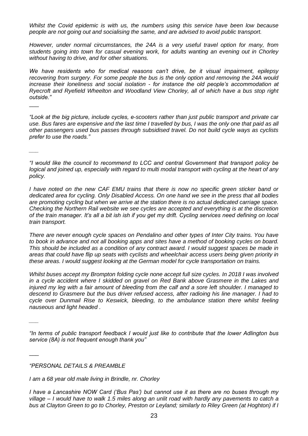*Whilst the Covid epidemic is with us, the numbers using this service have been low because people are not going out and socialising the same, and are advised to avoid public transport.*

*However, under normal circumstances, the 24A is a very useful travel option for many, from students going into town for casual evening work, for adults wanting an evening out in Chorley without having to drive, and for other situations.*

*We have residents who for medical reasons can't drive, be it visual impairment, epilepsy recovering from surgery. For some people the bus is the only option and removing the 24A would increase their loneliness and social isolation - for instance the old people's accommodation at Ryecroft and Ryefield Wheelton and Woodland View Chorley, all of which have a bus stop right outside."*

*"Look at the big picture, include cycles, e-scooters rather than just public transport and private car use. Bus fares are expensive and the last time I travelled by bus, I was the only one that paid as all other passengers used bus passes through subsidised travel. Do not build cycle ways as cyclists prefer to use the roads."*

*"I would like the council to recommend to LCC and central Government that transport policy be logical and joined up, especially with regard to multi modal transport with cycling at the heart of any policy.* 

*I have noted on the new CAF EMU trains that there is now no specific green sticker band or dedicated area for cycling. Only Disabled Access. On one hand we see in the press that all bodies are promoting cycling but when we arrive at the station there is no actual dedicated carriage space. Checking the Northern Rail website we see cycles are accepted and everything is at the discretion of the train manager. It's all a bit ish ish if you get my drift. Cycling services need defining on local train transport.* 

*There are never enough cycle spaces on Pendalino and other types of Inter City trains. You have to book in advance and not all booking apps and sites have a method of booking cycles on board. This should be included as a condition of any contract award. I would suggest spaces be made in areas that could have flip up seats with cyclists and wheelchair access users being given priority in these areas. I would suggest looking at the German model for cycle transportation on trains.* 

*Whilst buses accept my Brompton folding cycle none accept full size cycles. In 2018 I was involved in a cycle accident where I skidded on gravel on Red Bank above Grasmere in the Lakes and injured my leg with a fair amount of bleeding from the calf and a sore left shoulder. I managed to descend to Grasmere but the bus driver refused access, after radioing his line manager. I had to cycle over Dunmail Rise to Keswick, bleeding, to the ambulance station there whilst feeling nauseous and light headed .*

*"In terms of public transport feedback I would just like to contribute that the lower Adlington bus service (8A) is not frequent enough thank you"*

*"PERSONAL DETAILS & PREAMBLE*

 $\overline{\phantom{a}}$ 

*\_\_\_* 

*\_\_\_* 

 $\overline{\phantom{a}}$ 

*I am a 68 year old male living in Brindle, nr. Chorley* 

*I have a Lancashire NOW Card ('Bus Pas') but cannot use it as there are no buses through my village – I would have to walk 1.5 miles along an unlit road with hardly any pavements to catch a bus at Clayton Green to go to Chorley, Preston or Leyland; similarly to Riley Green (at Hoghton) if I*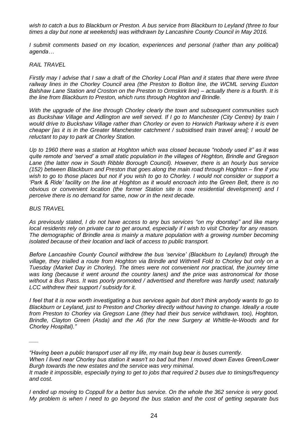*wish to catch a bus to Blackburn or Preston. A bus service from Blackburn to Leyland (three to four times a day but none at weekends) was withdrawn by Lancashire County Council in May 2016.* 

*I* submit comments based on my location, experiences and personal (rather than any political) *agenda…*

#### *RAIL TRAVEL*

*Firstly may I advise that I saw a draft of the Chorley Local Plan and it states that there were three railway lines in the Chorley Council area (the Preston to Bolton line, the WCML serving Euxton Balshaw Lane Station and Croston on the Preston to Ormskirk line) – actually there is a fourth. It is the line from Blackburn to Preston, which runs through Hoghton and Brindle.*

*With the upgrade of the line through Chorley clearly the town and subsequent communities such as Buckshaw Village and Adlington are well served. If I go to Manchester (City Centre) by train I would drive to Buckshaw Village rather than Chorley or even to Horwich Parkway where it is even cheaper [as it is in the Greater Manchester catchment / subsidised train travel area]; I would be reluctant to pay to park at Chorley Station.* 

*Up to 1960 there was a station at Hoghton which was closed because "nobody used it" as it was quite remote and 'served' a small static population in the villages of Hoghton, Brindle and Gregson Lane (the latter now in South Ribble Borough Council). However, there is an hourly bus service (152) between Blackburn and Preston that goes along the main road through Hoghton – fine if you wish to go to those places but not if you wish to go to Chorley. I would not consider or support a 'Park & Ride' facility on the line at Hoghton as it would encroach into the Green Belt, there is no obvious or convenient location (the former Station site is now residential development) and I perceive there is no demand for same, now or in the next decade.*

#### *BUS TRAVEL*

*\_\_\_* 

*As previously stated, I do not have access to any bus services "on my doorstep" and like many local residents rely on private car to get around, especially if I wish to visit Chorley for any reason. The demographic of Brindle area is mainly a mature population with a growing number becoming isolated because of their location and lack of access to public transport.*

*Before Lancashire County Council withdrew the bus 'service' (Blackburn to Leyland) through the village, they trialled a route from Hoghton via Brindle and Withnell Fold to Chorley but only on a Tuesday (Market Day in Chorley). The times were not convenient nor practical, the journey time was long (because it went around the country lanes) and the price was astronomical for those without a Bus Pass. It was poorly promoted / advertised and therefore was hardly used; naturally LCC withdrew their support / subsidy for it.*

*I feel that it is now worth investigating a bus services again but don't think anybody wants to go to Blackburn or Leyland, just to Preston and Chorley directly without having to change. Ideally a route from Preston to Chorley via Gregson Lane (they had their bus service withdrawn, too), Hoghton, Brindle, Clayton Green (Asda) and the A6 (for the new Surgery at Whittle-le-Woods and for Chorley Hospital)."*

*<sup>&</sup>quot;Having been a public transport user all my life, my main bug bear is buses currently.*

*When I lived near Chorley bus station it wasn't so bad but then I moved down Eaves Green/Lower Burgh towards the new estates and the service was very minimal.*

*It made it impossible, especially trying to get to jobs that required 2 buses due to timings/frequency and cost.*

*I ended up moving to Coppull for a better bus service. On the whole the 362 service is very good. My problem is when I need to go beyond the bus station and the cost of getting separate bus*